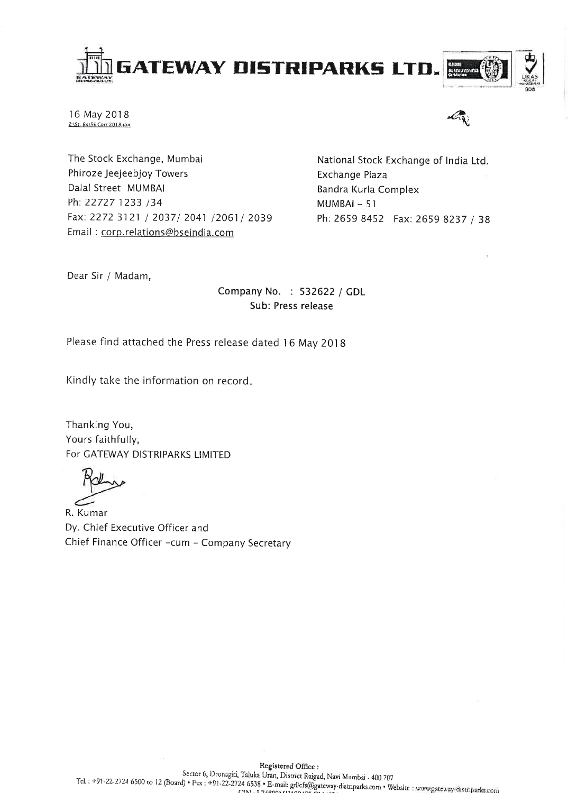

16 May 2018 Z:\St. Ex\SE Corr 2018.doc



The Stock Exchange, Mumbai Phiroze Jeejeebjoy Towers Dalal Street MUMBAI Ph: 22727 1233 /34 Fax: 2272 3121 / 2037/ 2041 /2061/ 2039 Email: corp.relations@bseindia.com

National Stock Exchange of India Ltd. **Exchange Plaza** Bandra Kurla Complex MUMBAI - 51 Ph: 2659 8452 Fax: 2659 8237 / 38

Dear Sir / Madam,

# Company No. : 532622 / GDL Sub: Press release

Please find attached the Press release dated 16 May 2018

Kindly take the information on record.

Thanking You, Yours faithfully, For GATEWAY DISTRIPARKS LIMITED

R. Kumar Dy. Chief Executive Officer and Chief Finance Officer -cum - Company Secretary